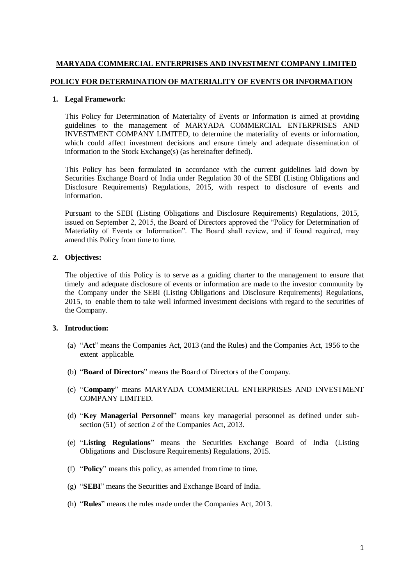## **MARYADA COMMERCIAL ENTERPRISES AND INVESTMENT COMPANY LIMITED**

## **POLICY FOR DETERMINATION OF MATERIALITY OF EVENTS OR INFORMATION**

### **1. Legal Framework:**

This Policy for Determination of Materiality of Events or Information is aimed at providing guidelines to the management of MARYADA COMMERCIAL ENTERPRISES AND INVESTMENT COMPANY LIMITED, to determine the materiality of events or information, which could affect investment decisions and ensure timely and adequate dissemination of information to the Stock Exchange(s) (as hereinafter defined).

This Policy has been formulated in accordance with the current guidelines laid down by Securities Exchange Board of India under Regulation 30 of the SEBI (Listing Obligations and Disclosure Requirements) Regulations, 2015, with respect to disclosure of events and information.

Pursuant to the SEBI (Listing Obligations and Disclosure Requirements) Regulations, 2015, issued on September 2, 2015, the Board of Directors approved the "Policy for Determination of Materiality of Events or Information". The Board shall review, and if found required, may amend this Policy from time to time.

## **2. Objectives:**

The objective of this Policy is to serve as a guiding charter to the management to ensure that timely and adequate disclosure of events or information are made to the investor community by the Company under the SEBI (Listing Obligations and Disclosure Requirements) Regulations, 2015, to enable them to take well informed investment decisions with regard to the securities of the Company.

## **3. Introduction:**

- (a) "**Act**" means the Companies Act, 2013 (and the Rules) and the Companies Act, 1956 to the extent applicable.
- (b) "**Board of Directors**" means the Board of Directors of the Company.
- (c) "**Company**" means MARYADA COMMERCIAL ENTERPRISES AND INVESTMENT COMPANY LIMITED.
- (d) "**Key Managerial Personnel**" means key managerial personnel as defined under subsection (51) of section 2 of the Companies Act, 2013.
- (e) "**Listing Regulations**" means the Securities Exchange Board of India (Listing Obligations and Disclosure Requirements) Regulations, 2015.
- (f) "**Policy**" means this policy, as amended from time to time.
- (g) "**SEBI**" means the Securities and Exchange Board of India.
- (h) "**Rules**" means the rules made under the Companies Act, 2013.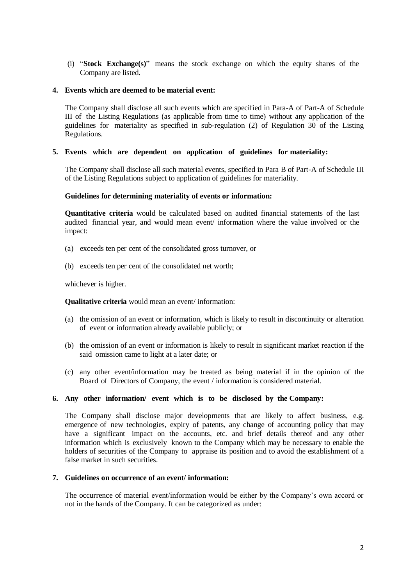(i) "**Stock Exchange(s)**" means the stock exchange on which the equity shares of the Company are listed.

### **4. Events which are deemed to be material event:**

The Company shall disclose all such events which are specified in Para-A of Part-A of Schedule III of the Listing Regulations (as applicable from time to time) without any application of the guidelines for materiality as specified in sub-regulation (2) of Regulation 30 of the Listing Regulations.

### **5. Events which are dependent on application of guidelines for materiality:**

The Company shall disclose all such material events, specified in Para B of Part-A of Schedule III of the Listing Regulations subject to application of guidelines for materiality.

#### **Guidelines for determining materiality of events or information:**

**Quantitative criteria** would be calculated based on audited financial statements of the last audited financial year, and would mean event/ information where the value involved or the impact:

- (a) exceeds ten per cent of the consolidated gross turnover, or
- (b) exceeds ten per cent of the consolidated net worth;

whichever is higher.

**Qualitative criteria** would mean an event/ information:

- (a) the omission of an event or information, which is likely to result in discontinuity or alteration of event or information already available publicly; or
- (b) the omission of an event or information is likely to result in significant market reaction if the said omission came to light at a later date; or
- (c) any other event/information may be treated as being material if in the opinion of the Board of Directors of Company, the event / information is considered material.

## **6. Any other information/ event which is to be disclosed by the Company:**

The Company shall disclose major developments that are likely to affect business, e.g. emergence of new technologies, expiry of patents, any change of accounting policy that may have a significant impact on the accounts, etc. and brief details thereof and any other information which is exclusively known to the Company which may be necessary to enable the holders of securities of the Company to appraise its position and to avoid the establishment of a false market in such securities.

### **7. Guidelines on occurrence of an event/ information:**

The occurrence of material event/information would be either by the Company's own accord or not in the hands of the Company. It can be categorized as under: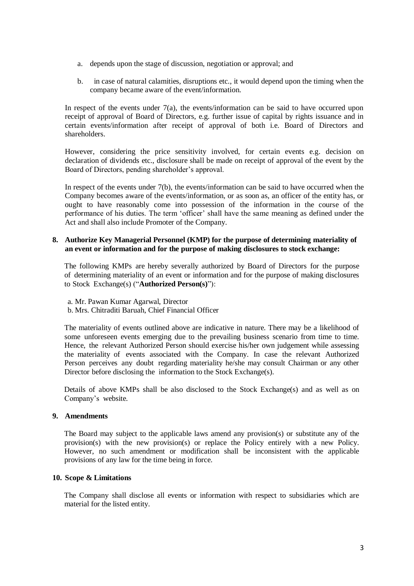- a. depends upon the stage of discussion, negotiation or approval; and
- b. in case of natural calamities, disruptions etc., it would depend upon the timing when the company became aware of the event/information.

In respect of the events under  $7(a)$ , the events/information can be said to have occurred upon receipt of approval of Board of Directors, e.g. further issue of capital by rights issuance and in certain events/information after receipt of approval of both i.e. Board of Directors and shareholders.

However, considering the price sensitivity involved, for certain events e.g. decision on declaration of dividends etc., disclosure shall be made on receipt of approval of the event by the Board of Directors, pending shareholder's approval.

In respect of the events under 7(b), the events/information can be said to have occurred when the Company becomes aware of the events/information, or as soon as, an officer of the entity has, or ought to have reasonably come into possession of the information in the course of the performance of his duties. The term 'officer' shall have the same meaning as defined under the Act and shall also include Promoter of the Company.

## **8. Authorize Key Managerial Personnel (KMP) for the purpose of determining materiality of an event or information and for the purpose of making disclosures to stock exchange:**

The following KMPs are hereby severally authorized by Board of Directors for the purpose of determining materiality of an event or information and for the purpose of making disclosures to Stock Exchange(s) ("**Authorized Person(s)**"):

a. Mr. Pawan Kumar Agarwal, Director

b. Mrs. Chitraditi Baruah, Chief Financial Officer

The materiality of events outlined above are indicative in nature. There may be a likelihood of some unforeseen events emerging due to the prevailing business scenario from time to time. Hence, the relevant Authorized Person should exercise his/her own judgement while assessing the materiality of events associated with the Company. In case the relevant Authorized Person perceives any doubt regarding materiality he/she may consult Chairman or any other Director before disclosing the information to the Stock Exchange(s).

Details of above KMPs shall be also disclosed to the Stock Exchange(s) and as well as on Company's website.

## **9. Amendments**

The Board may subject to the applicable laws amend any provision(s) or substitute any of the provision(s) with the new provision(s) or replace the Policy entirely with a new Policy. However, no such amendment or modification shall be inconsistent with the applicable provisions of any law for the time being in force.

## **10. Scope & Limitations**

The Company shall disclose all events or information with respect to subsidiaries which are material for the listed entity.